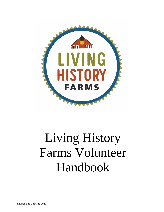

# Living History Farms Volunteer Handbook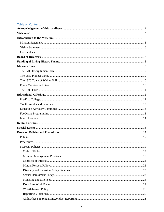#### **Table on Contents**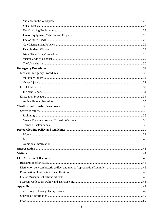| Men. |  |
|------|--|
|      |  |
|      |  |
|      |  |
|      |  |
|      |  |
|      |  |
|      |  |
|      |  |
|      |  |
|      |  |
|      |  |
|      |  |
|      |  |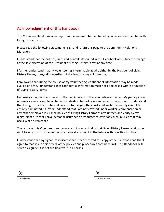# <span id="page-3-0"></span>Acknowledgement of this handbook

This Volunteer Handbook is an important document intended to help you become acquainted with Living History Farms.

Please read the following statements, sign and return this page to the Community Relations Manager:

I understand that the policies, rules and benefits described in this Handbook are subject to change at the sole discretion of the President of Living History Farms at any time.

I further understand that my volunteering is terminable at will, either by the President of Living History Farms, or myself, regardless of the length of my volunteering.

I am aware that during the course of my volunteering, confidential information may be made available to me. I understand that confidential information must not be released within or outside of Living History Farms.

I expressly accept and assume all ofthe risksinherent in these volunteer activities. My participation is purely voluntary and I elect to participate despite the known and unanticipated risks. I understand that Living History Farms has taken steps to mitigate these risks but such risks simply cannot be entirely eliminated. I further understand that I am not covered under workers compensation or any other employee insurance policies of Living History Farms as a volunteer, and verify by my digital signature that I have personal insurance or resources to cover any such injuries that may occur while a volunteer.

The terms of this Volunteer Handbook are not contractual in that Living History Farms retains the right to vary from or change the provisions at any point in the future with or without notice.

I understand that my signature indicates that I have received this copy of the Handbook and that I agree to read it and abide by all of the policies and procedures contained in it. This Handbook will serve as a guide; it is not the final word in all cases.

X

Print Name

Sign and Date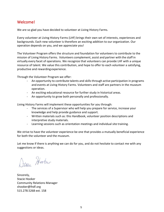# <span id="page-4-0"></span>Welcome!

We are so glad you have decided to volunteer at Living History Farms.

Every volunteer at Living History Farms (LHF) brings their own set of interests, experiences and backgrounds. Each new volunteer is therefore an exciting addition to our organization. Our operation depends on you, and we appreciate you!

The Volunteer Program offers the structure and foundation for volunteers to contribute to the mission of Living History Farms. Volunteers complement, assist and partner with the staff in virtually every facet of operations. We recognize that volunteers can provide LHF with a unique resource of talent. We value this contribution, and hope to offer to each volunteer a satisfying, productive and rewarding experience.

Through the Volunteer Program we offer:

- An opportunity to contribute talents and skills through active participation in programs and events at Living History Farms. Volunteers and staff are partners in the museum operation.
- An exciting educational resource for further study in historical areas.
- An opportunity to grow both personally and professionally.

Living History Farms will implement these opportunities for you through:

- The services of a Supervisor who will help you prepare for service, increase your knowledge and help provide guidance and support.
- Written materials such as: this Handbook, volunteer position descriptions and interpretive study materials.
- Learning sessions such as orientation meetings and individual site training.

We strive to have the volunteer experience be one that provides a mutually beneficial experience for both the volunteer and the museum.

Let me know if there is anything we can do for you, and do not hesitate to contact me with any suggestions or ideas.

Detain Hooker

Sincerely, Stacie Hooker Community Relations Manager shooker@lhdf.org 515.278.5268 ext. 158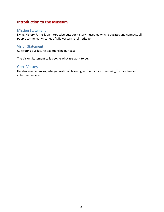# <span id="page-5-0"></span>**Introduction to the Museum**

#### <span id="page-5-1"></span>Mission Statement

Living History Farms is an interactive outdoor history museum, which educates and connects all people to the many stories of Midwestern rural heritage.

## <span id="page-5-2"></span>Vision Statement

Cultivating our future; experiencing our past

The Vision Statement tells people what **we** want to be.

# <span id="page-5-3"></span>Core Values

Hands-on experiences, intergenerational learning, authenticity, community, history, fun and volunteer service.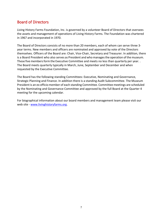# <span id="page-6-0"></span>Board of Directors

Living History Farms Foundation, Inc. is governed by a volunteer Board of Directors that oversees the assets and management of operations of Living History Farms. The Foundation was chartered in 1967 and incorporated in 1970.

The Board of Directors consists of no more than 20 members, each of whom can serve three 3 year terms. New members and officers are nominated and approved by vote of the Directors themselves. Officers of the Board are: Chair, Vice-Chair, Secretary and Treasurer. In addition, there is a Board President who also serves as President and who manages the operation of the museum. These five members form the Executive Committee and meets no less than quarterly per year.. The Board meets quarterly typically in March, June, September and December and when requested by the Executive Committee.

The Board has the following standing Committees: Executive, Nominating and Governance, Strategic Planning and Finance. In addition there is a standing Audit Subcommittee. The Museum President is an ex officio member of each standing Committee. Committee meetings are scheduled by the Nominating and Governance Committee and approved by the full Board at the Quarter 4 meeting for the upcoming calendar.

For biographical information about our board members and management team please visit our web site - [www.livinghistoryfarms.org.](http://www.livinghistoryfarms.org/)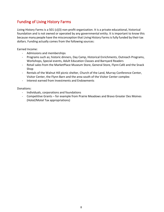# <span id="page-7-0"></span>Funding of Living History Farms

Living History Farms is a 501 (c)(3) non-profit organization. It is a private educational, historical foundation and is not owned or operated by any governmental entity. It is important to know this because many people have the misconception that Living History Farmsis fully funded by their tax dollars. Funding actually comes from the following sources:

Earned Income:

- Admissions and memberships
- Programs such as; historic dinners, Day Camp, Historical Enrichments, Outreach Programs, Workshops, Special events, Adult Education Classes and Barnyard Readers
- Retail sales from the MarketPlace Museum Store, General Store, Flynn Café and the Snack Shop
- Rentals of the Walnut Hill picnic shelter, Church of the Land, Murray Conference Center, Visitor Center, the Flynn Barn and the area south of the Visitor Center complex
- Interest earned from Investments and Endowments

Donations:

- Individuals, corporations and foundations
- Competitive Grants for example from Prairie Meadows and Bravo Greater Des Moines (Hotel/Motel Tax appropriations)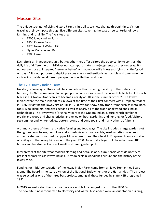# <span id="page-8-0"></span>Museum Sites

The unique strength of Living History Farms is its ability to show change through time. Visitors travel at their own pace through five different sites covering the past three centuries of Iowa farming and rural life. The five sites are:

- 1700 Ioway Indian Farm
- 1850 Pioneer Farm
- 1876 town of Walnut Hill
- Flynn Mansion and Barn
- 1900 Farm

Each site is an independent unit, but together they offer visitors the opportunity to contrast the daily life of different eras. LHF does not attempt to make value judgments on previous eras. It is not our purpose to interpret "newer as better" or that modern life is less satisfying than the "good old days." It is our purpose to depict previous eras as authentically as possible and to engage the visitors in considering different perspectives on life then and now.

## <span id="page-8-1"></span>The 1700 Ioway Indian Farm

No story of Iowa agriculture could be complete without sharing the story of the state's first farmers, the Native American Indian peoples who first discovered the incredible fertility of the rich black soil. A Native American site became a reality at LHF in the summer of 1982. The Ioway Indians were the main inhabitants in Iowa at the time of their first contacts with European traders in 1676. By dating the Ioway site at LHF in 1700, we can show early trade items such as metal pots, tools, wool blankets, and glass beads as well as nearly all of the traditional woodlands Indian technologies. The Ioway were (originally) part of the Oneota Indian culture, which combined prairie and woodland characteristics and relied on both gardening and hunting for food. Visitors see summer and winter lodges, pottery, stone and bone tools, and many other craft items.

A primary theme of the site is Native farming and food ways. The site includes a large garden plot that grows corn, beans, pumpkins and squash. As much as possible, seed varieties have been authenticated as those used by upper Midwestern tribes. The site at LHF represents only a portion of a village of the Ioway tribe around the year 1700. An actual village could have had over 100 homes and hundreds of acres of small, scattered garden plots.

Interpreters at the site wear modern clothing and because of cultural sensitivities do not try to present themselves as Ioway Indians. They do explain woodlands culture and the history of the Ioway tribe.

Funding for initial construction of the Ioway Indian Farm came from an Iowa Humanities Board grant. (The Board is the state division of the National Endowment for the Humanities.) The project was selected as one of the three best projects among all those funded by state NEH programs in 1982.

In 2015 we re-located the site to a more accessible location just north of the 1850 Farm. The new site is now connected to electricity and water. Also added were an orientation building,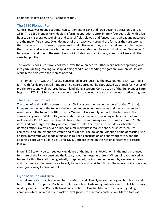additional lodges and an ADA compliant trial.

## <span id="page-9-0"></span>The 1850 Pioneer Farm

Central Iowa was opened to American settlement in 1846 and Iowa became a state on Dec. 28, 1846. The 1850 Pioneer Farm depicts a farming operation approximately four years old, with a log house, barn, several outbuildings and several fields plowed and fenced. Corn, wheat and potatoes are the major field crops. Oxen do much of the heavy work around the farm, as they are stronger than horses and do not need supplemental grain. However, they are much slower and less agile than horses, and as soon as a farmer got the farm established, he would think about "trading up" to horses. In addition to the oxen, livestock includes hogs, a milk cow, sheep, chickens and other assorted poultry.

The women cook in cast iron cookware, over the open hearth. Other work includes spinning wool into yarn, quilting, making lye soap, dipping candles and tending the garden. Women would also work in the fields with the men as needed.

The Pioneer Farm was the first site constructed at LHF. Just like the Iowa pioneers, LHF wanted a farm with fertile prairie soil, timbers and a nearby stream. The spot picked was ideal: forty acres of prairie, forest and well-watered bottomland along a stream. Construction of the first Pioneer Farm began in 1970. In 1984, construction on a new log cabin was a feature of the interpretive program.

# <span id="page-9-1"></span>The 1876 Town of Walnut Hill

The town of Walnut Hill represents a post-Civil War community on the Iowa frontier. The major interpretive theme of the town is the interdependence between farms and the craftsmen and merchants of the town. The 1876 town of Walnut Hill is a supply center forthe farmersin the surrounding area. In Walnut Hill, several shops are interpreted, including a blacksmith, a broom maker and a Print Shop. The General Store is stocked with many careful reproductions of 1876 items and has a large inventory of small items for sale. The town also includes a schoolhouse, doctor's office, law office, vet clinic, bank, millinery/dress maker's shop, drug store, church, cemetery, and implement dealership and residence. The Italianate Victorian home of Martin Flynn, an Irish immigrant who made a fortune in railroad construction and shorthorn cattle, and the adjoining barn were built in 1870 and 1871. Both are listed on the National Register of Historic Places.

In our 1876 town, you can see early evidence of the Industrial Revolution, in the mass-produced furniture of the Flynn House and the factory goods in the general store. When railroads arrived at towns like this, the craftsmen gradually disappeared, having been undersold by eastern factories, and the towns shifted even more heavily to service and retail functions. The railroad will always be a few years away for Walnut Hill.

## <span id="page-9-2"></span>Flynn Mansion and Barn

The Italianate Victorian home and barn of Martin and Ellen Flynn are the original farmhouse and barn on the LHF property. Martin and Ellen were both Irish immigrants who met while Martin was working on the Union Pacific Railroad construction in Omaha. Martin owned a land grading company which moved dirt and rock to level ground for railroad construction. Martin translated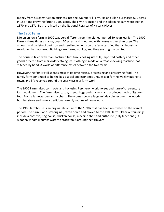money from his construction business into the Walnut Hill Farm. He and Ellen purchased 600 acres in 1867 and grew the farm to 1500 acres. The Flynn Mansion and the adjoining barn were built in 1870 and 1871. Both are listed on the National Register of Historic Places.

## <span id="page-10-0"></span>The 1900 Farm

Life on an Iowa farm in 1900 was very different from the pioneer period 50 years earlier. The 1900 Farm is three times as large, over 120 acres, and is worked with horses rather than oxen. The amount and variety of cast iron and steel implements on the farm testified that an industrial revolution had occurred. Buildings are frame, not log, and they are brightly painted.

The house is filled with manufactured furniture, cooking utensils, imported pottery and other goods ordered from mail order catalogues. Clothing is made on a treadle-sewing machine, not stitched by hand. A world of difference exists between the two farms.

However, the family still spends most of its time raising, processing and preserving food. The family farm continued to be the basic social and economic unit, except for the weekly outing to town, and life revolves around the yearly cycle of farm work.

The 1900 Farm raises corn, oats and hay using Percheron work horses and turn-of-the-century farm equipment. The farm raises cattle, sheep, hogs and chickens and produces much of its own food from a large garden and orchard. The women cook a large midday dinner over the woodburning stove and have a traditional weekly routine of housework.

The 1900 farmhouse is an original structure of the 1890s that has been renovated to the correct period. The barn is an 1889 original, taken down and moved to the 1900 farm. Other outbuildings include a corncrib, hog house, chicken house, machine shed and outhouse (fully functional). A wooden windmill pumps water to stock tanks around the farmyard.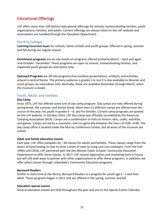# <span id="page-11-0"></span>Educational Offerings

LHF offers more than 100 distinct educational offerings for schools, homeschooling families, youth organizations, families, and adults. Current offerings are always listed on the LHF website and reservations are handled through the Education Department.

## <span id="page-11-1"></span>Pre-K to College:

**Learning Excursion tours** for schools, home-schools and youth groups. Offered in spring, summer and fall during our regular season.

**Enrichment programs** are on-site hands-on programs offered primarily March – April and again mid-October - December. These programs are open to schools, homeschooling families, and organized youth groups by reservation only.

**Outreach Programs** are off-site programsthat combine presentations, artifacts, and activities around a central theme. The primary audience is grades 2-6, but it is also available to libraries and scout groups, by reservation only. Normally, these are available November through March, when the museum is closed.

#### <span id="page-11-2"></span>Youth, Adults and Families:

#### **Day Camp**

Since 1975, LHF has offered some sort of day camp program. Day camps are now offered during spring break, the summer, and winter break. More than 21 different camps are offered over the course of the year, for youth in grades  $K - 8$ , and for families. Current camp programs are posted on the LHF website. In October 2014, LHF Day Camp was officially accredited by the American Camping Association (ACA). Camps are a combination of visits to historic sites, crafts, activities, and games. Camps are led by a counselor, and run generally between the hours of 9:00 –4:00. The day camp office is located inside the Murray Conference Center, but all areas of the museum are visited.

#### **Adult and family education classes**

Each year, LHF offers between 40 – 60 classes for adults and families. These classes range from the basics of hand sewing to how to drive a team of oxen to using cast iron cookware. From the mid-1990s until 2016, LHF partnered with the Des Moines Public Schools' Community Education Department to offer these classes. In 2017, LHF moved registration and marketing back in house, but will still seek ways to partner with other organizations to offer these programs. In addition, we offer select classes through Urbandale's Community Education programs.

#### **Barnyard Readers**

Similar to story time at the library, Barnyard Readers is a program for youth age 3 - 5 and their adult. These programs began in 2011 and are offered in the spring, summer and fall.

#### **Education special events**

Several education events are held throughout the year and are on the Special Events Calendar.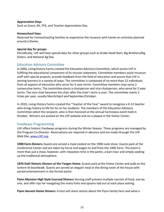#### **Appreciation Days**

Such as Scout, 4H, FFA, and Teacher Appreciation Day.

#### **Homeschool Days**

Reserved for homeschooling families to experience the museum with hands-on activities planned around a theme.

#### **Special day for groups**

Periodically, LHF will have special days for other groups such as Drake Head Start, Big Brothers/Big Sisters, and National Ag Day.

## <span id="page-12-0"></span>Education Advisory Committee

In 2000, Living History Farms created the Education Advisory Committee, which assists LHF in fulfilling the educational component of its mission statement. Committee members assist museum staff with special projects, provide feedback from the field of education and assure that LHF is serving learners in a variety of ways. The committee is composed of no more than 12 individuals from all aspects of education who serve for 3-year terms. Committee members may serve 2 consecutive terms. The committee elects a chairperson and vice-chairperson, who serve for 2-year terms. The vice-chair becomes the chair after the chair's term is over. The committee meets 2 times per year, usually March/April and September/October.

In 2010, Living History Farms created the "Teacher of the Year" award to recognize a K-12 teacher who brings history to life for his or her students. The members of the Education Advisory Committee select the recipient, who is then honored at the annual Farmstasia event held in October. Winners are posted on the LHF website and on a plaque in the Visitor Center.

## <span id="page-12-1"></span>Foodways Programming

LHF offers historic Foodways programs during the Winter Season. These programs are managed by the Program Co-Director. Reservations are required in advance and are made through the LHF Web Site: [www.LHF.org.](http://www.lhf.org/)

**1900 Farm Dinners:** Guests are served a meal cooked on the 1900 cook stove. Guests park at the Conference Center and are taken by horse and wagon to and from the 1900 Farm. The event is more than just a meal, however, with relaxation time in the parlor, a barn tour and simply soaking up the traditional atmosphere.

**1876 Dahl Historic Dinners at the Tangen Home:** Guests park at the Visitor Center and walk on the lantern-lit boardwalk. Guests are served an elegant meal in the dining room of the house with period entertainment in the formal parlor.

**Flynn Mansion High Style Coursed Dinners:** Serving staff present multiple courses of food, one by one, and offer tips for navigating the many forks and spoons laid out at each place setting.

**Flynn Harvest Home Dinners:** A host will share stories about the Flynn family farm and what a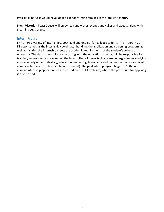typical fall harvest would have looked like for farming families in the late 19<sup>th</sup> century.

**Flynn Victorian Teas:** Guests will enjoy tea sandwiches, scones and cakes and sweets, along with steaming cups of tea.

#### <span id="page-13-0"></span>Intern Program

LHF offers a variety of internships, both paid and unpaid, for college students. The Program Co-Director serves as the internship coordinator handling the application and screening program, as well as insuring the internship meets the academic requirements of the student's college or university. The department director, working with the education director, will be responsible for training, supervising and evaluating the intern. These interns typically are undergraduates studying a wide variety of fields (history, education, marketing, liberal arts and recreation majors are most common, but any discipline can be represented). The paid intern program began in 1982. All current internship opportunities are posted on the LHF web site, where the procedure for applying is also posted.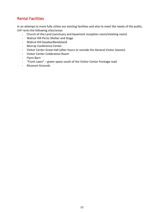# <span id="page-14-0"></span>Rental Facilities

In an attempt to more fully utilize our existing facilities and also to meet the needs of the public, LHF rents the following sites/areas:

- Church of the Land (sanctuary and basement reception room/meeting room)
- Walnut Hill Picnic Shelter and Stage
- Walnut Hill Gazebo/Bandstand
- Murray Conference Center
- Visitor Center Great Hall (after-hours or outside the General Visitor Season)
- Visitor Center Celebration Room
- Flynn Barn
- "Front Lawn" green space south of the Visitor Center frontage road
- Museum Grounds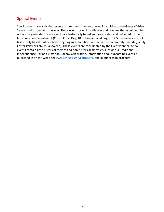# <span id="page-15-0"></span>Special Events

Special events are activities, events or programs that are offered in addition to the General Visitor Season and throughout the year. These events bring in audiences and revenue that would not be otherwise generated. Some events are historically based and are created and delivered by the Interpretation Department (Circuit Court Day, 1850 Pioneer Wedding, etc.). Some events are not historically-based, but celebrate ongoing rural traditions and serve the community's needs (Family Easter Party or Family Halloween). These events are coordinated by the Event Planner. A few events contain both historical themes and non-historical activities, such as our Traditional Independence Day and Victorian Holiday Celebration. Information about upcoming events is published in on the web site: www.LivingHistoryFarms.org, and in our season brochure.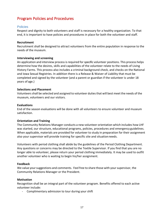# <span id="page-16-0"></span>Program Policies and Procedures

#### <span id="page-16-1"></span>**Policies**

Respect and dignity to both volunteers and staff is necessary for a healthy organization. To that end, it is important to have policies and procedures in place for both the volunteer and staff.

#### **Recruitment**

Recruitment shall be designed to attract volunteers from the entire population in response to the needs of the museum.

#### **Interviewing and screening**

An application and interview process is required for specific volunteer positions. This process helps determine how the desires, skills and capabilities of the volunteer relate to the needs of Living History Farms. This process also includes a criminal background check, and checks on the National and Iowa Sexual Registries. In addition there is a Release & Waiver of Liability that must be completed and signed by the volunteer (and a parent or guardian if the volunteer is under 18 years of age.)

#### **Selections and Placement**

Volunteers shall be selected and assigned to volunteer duties that will best meet the needs of the museum, volunteers and our visitors.

#### **Evaluations**

End of the season evaluations will be done with all volunteers to ensure volunteer and museum satisfaction.

#### **Orientation and Training**

The Community Relations Manager conducts a new volunteer orientation which includes how LHF was started, our structure, educational programs, policies, procedures and emergency guidelines. When applicable, materials are provided for volunteer to study in preparation for their assignment also your supervisor will provide training for specific site and situationneeds.

Volunteers with period clothing shall abide by the guidelines of the Period Clothing Department. Any questions or concerns may be directed to the Textile Supervisor. If you find that you are no longer able to volunteer, please return your period clothing immediately. It may be used to outfit another volunteer who is waiting to begin his/her assignment.

#### **Feedback**

We value your suggestions and comments. Feel free to share those with your supervisor, the Community Relations Manager or the President.

#### **Motivation**

Recognition shall be an integral part of the volunteer program. Benefits offered to each active volunteer include:

- Complimentary admission to tour during your shift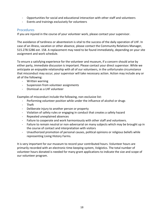- Opportunities for social and educational interaction with other staff and volunteers
- Events and trainings exclusively for volunteers

## <span id="page-17-0"></span>**Procedures**

If you are injured in the course of your volunteer work, please contact your supervisor.

The avoidance of tardiness or absenteeism is vital to the success of the daily operation of LHF. In case of an illness, vacation or other absence, please contact the Community Relations Manager, 515.278.5286 ext. 158. A replacement may need to be found immediately, depending on your site assignment and work schedule.

To ensure a satisfying experience for the volunteer and museum, if a concern should arise by either party, immediate discussion is important. Please contact your direct supervisor. While we anticipate an enjoyable relationship with all of our volunteers, in the unfortunate circumstance that misconduct may occur, your supervisor will take necessary action. Action may include any or all of the following:

- Written warning
- Suspension from volunteer assignments
- Dismissal as a LHF volunteer

Examples of misconduct include the following, non-exclusive list:

- Performing volunteer position while under the influence of alcohol or drugs
- Theft
- Deliberate injury to another person or property
- Violation of safety rules or engaging in conduct that creates a safety hazard
- Repeated unexplained absences
- Failure to cooperate and work harmoniously with other staff and volunteers.
- Failure to remain neutral or non-adversarial on many subjects which may be brought up in the course of contact and interpretation with visitors
- Unauthorized promotion of personal causes, political opinions or religious beliefs while representing Living History Farms.

It is very important for our museum to record your contributed hours. Volunteer hours are primarily recorded with an electronic time-keeping system, Volgistics. The total number of volunteer hours donated is needed for many grant applications to indicate the size and scope of our volunteer program.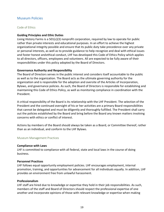# <span id="page-18-0"></span>Museum Policies

#### <span id="page-18-1"></span>Code of Ethics

#### **Guiding Principles and Ethic Duties**

Living History Farms is a 501(c)(3) nonprofit corporation, required by law to operate for public rather than private interests and educational purposes. In an effort to achieve the highest organizational integrity possible and ensure that its public duty take precedence over any private or personal interests, as well as to provide guidance to help recognize and deal with ethical issues and foster honest andethical conduct, LHF has developed this Code of Ethics Policy which applies to all directors, officers, employees and volunteers. All are expected to be fully aware of their responsibilities under this policy adopted by the Board of Directors.

#### **Governance Authority and Responsibility**

The Board of Directors serves in the public interest and considers itself accountable to the public as well as to the organization. The Board acts as the ultimate governing authority for the organization and is responsible for the adoption and oversite of the Articles of Incorporation, Bylaws, and governance policies. As such, the Board of Directors is responsible for establishing and maintaining this Code of Ethics Policy, as well as monitoring compliance in coordination with the President.

A critical responsibility of the Board is its relationship with the LHF President. The selection of the President and the continued oversight of his or her activities are a primary Board responsibilities that cannot be delegated and must be diligently and thoroughly fulfilled. The President shall carry out the policies established by the Board and bring before the Board any known matters involving concerns with ethics or conflict of interest.

Actions by members of the Board should always be taken as a Board, or Committee thereof, rather than as an individual, and conform to the LHF Bylaws.

#### <span id="page-18-2"></span>Museum Management Practices

#### **Compliance with Laws**

LHF is committed to compliance with all federal, state and local laws in the course of doing business.

#### **Personnel Practices**

LHF follows equal opportunity employment policies. LHF encourages employment, internal promotion, training, and opportunities for advancement for all individuals equally. In addition, LHF provides an environment free from unlawful harassment.

#### **Professionalism**

LHF staff are hired due to knowledge or expertise they hold in their job responsibilities. As such, members of the staff and Board of Directors should respect the professional expertise of one another and incorporate opinions of those with relevant knowledge or expertise when making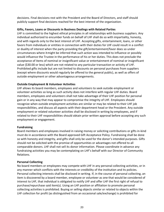decisions. Final decisions rest with the President and the Board of Directors, and staff should publicly support final decisions reached for the best interest of the organization.

#### **Gifts, Favors, Loans or Discounts in Business Dealings with Related Parties**

LHF is committed to the highest ethical principles in all relationships with business suppliers. Any individual authorized to encumber funds on behalf of LHF shall do so with impartiality, honesty, and with regards only to the best interest of LHF. Accepting gifts, entertainment, loans, or other favors from individuals or entities in connection with their duties for LHF could result in a conflict or duality of interest when the party providing the gift/entertainment/favor does so under circumstances where itmight be inferred that such action was intended to influence or possibly would influence the Trustee in the performance of his or her duties. This does not preclude the acceptance of items of nominal or insignificant value or entertainment of nominal or insignificant value (\$30.00 or less) which are not related to any particular transaction or activity of LHF. Prohibited gifts include but are not limited to discounts on personal purchases from suppliers (except where discounts would regularly be offered to the general public), as well as offers of outside employment or other advantageous arrangements.

#### **Outside Employment & Volunteer Activities**

LHF allows its board members, employees and volunteers to seek outside employment or volunteer activities so long as such activity does not interfere with regular LHF duties. Board members, employees and volunteers shall not take advantage of their LHF position for personal gain or in any way that may appear to compromise the integrity of LHF. Employees should recognize when outside employment activities are similar or may be related to their LHF job responsibilities, and discuss all aspects with their department head or the President. Any outside employment or related volunteer activities shall be disclosed in writing by employees, and if related to their LHF responsibilities should obtain prior written approval before accepting any such employment or engagement.

#### **Fundraising**

Board members and employees involved in raising money or soliciting contributions or gifts in-kind must do in accordance with the Board approved Gift Acceptance Policy. Fundraising shall be done so with honesty and integrity, and gifts shall only be used for the donor's intended purposes. Gifts should not be solicited with the promise of opportunities or advantages not offered to all comparable donors. LHF shall not sell its donor information. Please coordinate in advance any fundraising activities you may be contemplating on LHF's behalf with our Director of Community Relations.

#### **Personal Collecting**

No board members or employees may compete with LHF in any personal collecting activities, or in any manner which conflicts with the interests or credibility of the institution and its policies. Personal collecting interests shall be disclosed in writing. If, in the course of personal collecting, an item is discovered by a board member, employee or volunteer as one that would be considered of interest to LHF, that individual is obligated to notify LHF and offer LHF the first right of refusal to purchase/repurchase said item(s). Using an LHF position or affiliation to promote personal collecting activities is prohibited. Buying or selling objects similar or related to objects within the LHF collection for profit (as distinguished from an occasional sale/exchange) is prohibited for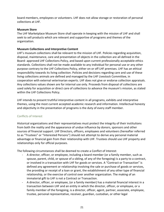board members, employees or volunteers. LHF does not allow storage or restoration of personal collections at LHF.

#### **Museum Store**

The LHF Marketplace Museum Store shall operate in keeping with the mission of LHF and shall seek to sell products which are relevant and supportive of programs and themes of the organization.

#### **Museum Collections and Interpretive Content**

LHF's museum collections shall be relevant to the mission of LHF. Policies regarding acquisition, disposal, maintenance, care and presentation of objects in the collection are all defined in the Board- approved LHF Collections Policy, and based upon current professionally acceptable ethics standards. Collections shall not be made available to any individual for personal use or any other purpose contrary to the LHF Collections Policy, either on or off LHF premises. LHF has an ethical responsibility towards its living collection. Policies and decisions regarding care and use of these living collections animals are defined and managed by the LHF Livestock Committee, in cooperation with external veterinarian experts. LHF does not give or endorse collection appraisals. Any collections values shown are for internal use only. Proceeds from disposal of collections are used solely for acquisition or direct care of collections to advance the museum's mission, as stated within the LHF Collections Policy.

LHF intends to present truthful interpretive content in all programs, exhibits and interpretive themes, using the most current accepted academic research and information. Intellectual honesty and objectivity in the presentation of programs is the duty of every staff member.

#### <span id="page-20-0"></span>Conflicts of Interest

Historical organizations and their representatives must protect the integrity of their institutions from both the reality and the appearance of undue influence by donors, sponsors and other sources of financial support. LHF Directors, officers, employees and volunteers (hereafter referred to as "Trustees" or "Interested Persons") should not attempt to derive any personal material advantage or financial gain from their relationship with LHF. Trustees should use LHF property and relationships only for official purposes.

The following circumstances shall be deemed to create a Conflict of Interest:

- A director, officer, or employee, including a board member (or a family member, such as spouse, parent, child, or spouse of a sibling, of any of the foregoing) is a party to a contract, or involved in a transaction with LHF for goods or services. A "Contract or Transaction" is defined any agreement or relationship involving the sale or purchase of goods or services, the providing or receipt of a loan or grant, the establishment of any other type of financial relationship, or the exercise of control over another organization. The making of an immaterial gift to LHF is not a Contract or Transaction.
- A director, officer, or employee, (or a family member) has a material financial interest in a transaction between LHF and an entity in which the director, officer, or employee, or a family member of the foregoing, is a director, officer, agent, partner, associate, employee, trustee, personal representative, receiver, guardian, custodian, or other legal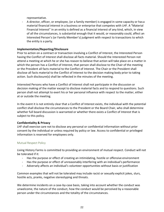representative.

- A director, officer, or employee, (or a family member) is engaged in some capacity or has a material financial interest in a business or enterprise that competes with LHF. A "Material Financial Interest" in an entity is defined as a financial interest of any kind, which, in view of all the circumstances, is substantial enough that it would, or reasonably could, affect an Interested Person's (or Family Member's) judgment with respect to transactions to which the entity is a party.

#### **Implementation/Reporting/Disclosure**

Prior to action on a contract or transaction involving a Conflict of Interest, the Interested Person having the Conflict of Interest shall disclose all facts material. Should the Interested Person not attend a meeting at which he or she has reason to believe that action will take place on a matter in which the person has a Conflict of Interest, that person shall disclose to the Chair of the meeting or the President all facts material to the Conflict of Interest. The Chair or the President shall disclose all facts material to the Conflict of Interest to the decision making body prior to taking action. Such disclosure(s) shall be reflected in the minutes of the meeting.

Interested Persons who have a Conflict of Interest shall not participate in the discussion or decision making of the matter except to disclose material facts and to respond to questions. Such person shall not attempt to exert his or her personal influence with respect to the matter, either at or outside the meeting.

In the event it is not entirely clear that a Conflict of Interest exists, the individual with the potential conflict shall disclose the circumstances to the President or the Board Chair, who shall determine whether full board discussion is warranted or whether there exists a Conflict of Interest that is subject to this policy.

#### **Confidentiality & Privacy**

LHF shall exercise care not to disclose any personal or confidential information without prior consent by the individual or unless required by policy or law. Access to confidential or privileged information is reserved for employees only.

#### <span id="page-21-0"></span>Mutual Respect Policy

Living History Farms is committed to providing an environment of mutual respect. Conduct will not be tolerated if it:

- Has the purpose or effect of creating an intimidating, hostile or offensive environment
- Has the purpose or effect of unreasonably interfering with an individual's performance
- Adversely affects an individual's volunteer opportunities without basis or justification

Common examples that will not be tolerated may include racist or sexually explicit jokes, slurs, hostile acts, pranks, negative stereotyping and threats.

We determine incidents on a case-by-case basis, taking into account whether the conduct was unwelcome, the nature of the conduct, how the conduct would be perceived by a reasonable person under the circumstances and the totality of the circumstances.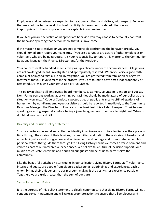Employees and volunteers are expected to treat one another, and visitors, with respect. Behavior that may not rise to the level of unlawful activity, but may be considered offensive or inappropriate for the workplace, is not acceptable in our environment.

If you feel you are the victim of inappropriate behavior, you may choose to personally confront the behavior by letting that person know that it is unwelcome.

If the matter is not resolved or you are not comfortable confronting the behavior directly, you should immediately report your concerns. If you are a target or are aware of other employees or volunteers who are being targeted, it is your responsibility to report this matter to the Community Relations Manager, the Finance Director and/or the President.

Your concerns will be handled as sensitively as is practicable under the circumstances. Allegations are acknowledged, heard, investigated and appropriately resolved. When you voice a good faith complaint or in good faith aid in an investigation, you are protected from retaliation or negative treatment for your involvement in the process. If you are found to have acted inappropriately or retaliated, LHF may end your status as a LHF volunteer.

This policy applies to all employees, board members, customers, volunteers, vendors and guests. Non- Farms persons working at or visiting our facilities should be made aware of our policy as the situation warrants. A Code of Conduct is posted at each public entrance to LHF. Allegations of harassment by non-Farms employees or visitorsshould be reported immediately to the Community Relations Manager, the Director of Finance or the President. It is all about respect. Think before speaking or acting, especially before telling a joke. Imagine how other people might feel. When in doubt…do not say or do it!

#### <span id="page-22-0"></span>Diversity and Inclusion Policy Statement

"History nurtures personal and collective identity in a diverse world. People discover their place in time through the stories of their families, communities, and nation. These stories of freedom and equality, injustice and struggle, loss and achievement, and courage and triumph shape people's personal values that guide them through life." Living History Farms welcomes diverse opinions and voices as part of our interpretive experiences. We believe this culture of inclusion supports our mission to educate, entertain and enrich all our guests and helps us to better serve the community.

Like the beautifully stitched historic quilts in our collection, Living History Farms staff, volunteers, interns and guests are people from diverse backgrounds, upbringings and experiences, each of whom brings their uniqueness to our museum, making it the best visitor experience possible. Together, we are truly greater than the sum of our parts.

#### <span id="page-22-1"></span>Sexual Harassment Policy

It is the purpose of this policy statement to clearly communicate that Living History Farms will not condone sexual harassment and will take appropriate actions to ensure that all employees and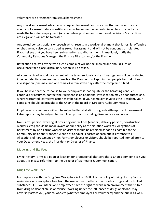volunteers are protected from sexual harassment.

Any unwelcome sexual advance, any request for sexual favors or any other verbal or physical conduct of a sexual nature constitutes sexual harassment when submission to such conduct is made the basisfor employment (or a volunteer position) or promotional decisions. Such actions are illegal and will not be tolerated.

Any sexual contact, actions or speech which results in a work environment that is hostile, offensive or abusive may also be construed as sexual harassment and will not be condoned or tolerated. If you believe that you have been subjected to sexual harassment, immediately notify the Community Relations Manager, the Finance Director and/or the President.

Retaliation against anyone who files a complaint will not be allowed and should such an occurrence take place, disciplinary action will be taken.

All complaints of sexual harassment will be taken seriously and an investigation will be conducted in as confidential a manner as is possible. The President will appoint two people to conduct an investigation (one male and one female) within seven days after the complaint is filed.

If you believe that the response to your complaint is inadequate or the harassing conduct continues or resumes, contact the President so an additional investigation may be conducted and, where warranted, corrective action may be taken. If your complaint involves the President, your complaint should be brought to the Chair of the Board of Directors Audit Committee.

Employees or volunteers will not be subjected to retaliation for good-faith reports of harassment. False reports may be subject to discipline up to and including dismissal as a volunteer.

Non-Farms persons working at or visiting our facilities (vendors, delivery persons, construction workers, etc.) should be made aware of our policy as the situation warrants. Allegations of harassment by non-Farms workers or visitors should be reported as soon as possible to the Community Relations Manager. A code of Conduct is posted at each public entrance to LHF. Allegations of harassment by non-Farms employees or visitors should be reported immediately to your Department Head, the President or Director of Finance.

#### <span id="page-23-0"></span>Modeling and Site Fees

Living History Farms is a popular location for professional photographers. Should someone ask you about this please refer them to the Director of Marketing & Communication.

#### <span id="page-23-1"></span>Drug Free Work Place

In compliance with the Drug Free Workplace Act of 1988, it is the policy of Living History Farms to maintain a safe workplace free from the use, abuse or effects of alcohol or drugs and controlled substances. LHF volunteers and employees have the right to work in an environment that is free from drug or alcohol abuse or misuse. Working under the influences of drugs or alcohol may adversely affect you, your co-workers (whether employees or volunteers) and the public as well.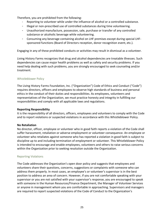Therefore, you are prohibited from the following:

- Reporting to volunteer while under the influence of alcohol or a controlled substance.
- Illegal or non-prescribed use of controlled substances during time volunteering.
- Unauthorized manufacture, possession, sale, purchase or transfer of any controlled substance or alcoholic beverage while volunteering.
- Consuming any beverage containing alcohol on LHF premises except during special LHFsponsored functions (Board of Directors reception, donor recognition event, etc.).

Engaging in any of these prohibited conducts or activities may result in dismissal as a volunteer.

Living History Farms recognizes that drug and alcohol dependencies are treatable illnesses. Such dependencies can cause major health problems as well as safety and security problems. If you need help dealing with such problems, you are strongly encouraged to seek counseling and/or treatment.

#### <span id="page-24-0"></span>Whistleblower Policy

The Living History Farms Foundation, Inc. ("Organization") Code of Ethics and Conduct ("Code") requires directors, officers and employees to observe high standards of business and personal ethics in the conduct of their duties and responsibilities. As employees, volunteers and representatives of the Organization, we must practice honesty and integrity in fulfilling our responsibilities and comply with all applicable laws and regulations.

#### **Reporting Responsibility**

It is the responsibility of all directors, officers, employees and volunteers to comply with the Code and to report violations or suspected violations in accordance with this Whistleblower Policy.

#### **No Retaliation**

No director, officer, employee or volunteer who in good faith reports a violation of the Code shall suffer harassment, retaliation or adverse employment or volunteer consequence. An employee or volunteer who retaliates against someone who has reported a violation in good faith is subject to discipline up to and including termination of employment or volunteer. This Whistleblower Policy is intended to encourage and enable employees, volunteers and others to raise serious concerns within the Organization prior to seeking resolution outside the Organization.

#### <span id="page-24-1"></span>Reporting Violations

The Code addresses the Organization's open door policy and suggests that employees and volunteers share their questions, concerns, suggestions or complaints with someone who can address them properly. In most cases, an employee's or volunteer's supervisor is in the best position to address an area of concern. However, if you are not comfortable speaking with your supervisor or you are not satisfied with your supervisor's response, you are encouraged to speak with someone in the Human Resources/Finance Department, the Manager of Volunteer Services or anyone in management whom you are comfortable in approaching. Supervisors and managers are required to report suspected violations of the Code of Conduct to the Organization's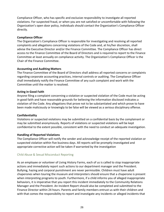Compliance Officer, who has specific and exclusive responsibility to investigate all reported violations. For suspected fraud, or when you are not satisfied or uncomfortable with following the Organization's open door policy, individuals should contact the Organization's Compliance Officer directly.

#### **Compliance Officer**

The Organization's Compliance Officer is responsible for investigating and resolving all reported complaints and allegations concerning violations of the Code and, at his/her discretion, shall advise the Executive Director and/or the Finance Committee. The Compliance Officer has direct access to the Finance Committee of the Board of Directors and is required to report to the Finance Committee at least annually on compliance activity. The Organization's Compliance Officer is the Chair of the Finance Committee.

#### **Accounting and Auditing Matters**

The Finance Committee of the Board of Directors shall address all reported concerns or complaints regarding corporate accounting practices, internal controls or auditing. The Compliance Officer shall immediately notify the Finance Committee of any such complaint and work with the Committee until the matter is resolved.

#### **Acting in Good Faith**

Anyone filing a complaint concerning a violation or suspected violation of the Code must be acting in good faith and have reasonable grounds for believing the information disclosed indicates a violation of the Code. Any allegations that prove not to be substantiated and which prove to have been made maliciously or knowingly to be false will be viewed as a serious disciplinary offense.

#### **Confidentiality**

Violations or suspected violations may be submitted on a confidential basis by the complainant or may be submitted anonymously. Reports of violations or suspected violations will be kept confidential to the extent possible, consistent with the need to conduct an adequate investigation.

#### **Handling of Reported Violations**

The Compliance Officer will notify the sender and acknowledge receipt of the reported violation or suspected violation within five business days. All reports will be promptly investigated and appropriate corrective action will be taken if warranted by the investigation

#### <span id="page-25-0"></span>Child Abuse & Sexual Misconduct Reporting

As an employee or volunteer of Living History Farms, each of us is called to stop inappropriate actions and immediately report such actions to our department manager and the President. Bullying, hazing and corporal punishment are never permissible. Children must have adult chaperones when touring the museum and interpreters should ensure that a chaperone is present when interpreting programs to youth. Furthermore, if a child informs you of alleged inappropriate behaviors, it is imperative that you report this incident immediately to the Community Relations Manager and the President. An Incident Report should also be completed and submitted to the Finance Director within 24 hours. Parents and family members entrust us with their children and with that comes the responsibility to report and investigate any incidents or alleged incidents that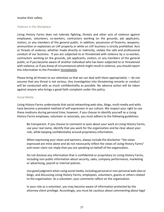#### involve their safety.

#### <span id="page-26-0"></span>Violence in the Workplace

Living History Farms does not tolerate fighting, threats and other acts of violence against employees, volunteers, co-workers, contractors working on the grounds, job applicants, visitors, or any members of the general public. In addition, possession of firearms, weapons, ammunition or explosives on LHF property or while on LHF business is strictly prohibited. Acts or threats of violence, whether made directly or indirectly, violate the safe and professional conduct of our business. If you are subjected to or threatened with violence by a co-worker, contractors working on the grounds, job applicants, visitors, or any members of the general public, orif you become aware of another individual who has been subjected to or threatened with violence, or if you know of circumstances which might result in violence, you should report this information to the President immediately.

Please bring all threats to our attention so that we can deal with them appropriately  $-$  do not assume that any threat is not serious. Any investigation into threatening remarks or conduct will be conducted with as much confidentiality as possible. No adverse action will be taken against anyone who brings a good-faith complaint under this policy.

#### <span id="page-26-1"></span>Social Media

Living History Farms understands that social networking web sites, blogs, multi-media and wikis have become a prevalent method of self-expression in our culture. We respect your right to use these mediums during personal time; however, if you choose to identify yourself as a Living History Farms employee, volunteer or associate, you must adhere to the following guidelines:

Be transparent. If you choose to comment or post about your work at Living History Farms, use your real name, identify that you work for the organization and be clear about your role, while keeping confidentiality around proprietary information.

When expressing your views and opinions, always include the disclaimer "the views expressed are mine alone and do not necessarily reflect the views of Living History Farms" and never claim nor imply that you are speaking on behalf of the organization.

Do not disclose any information that is confidential or proprietary to Living History Farms, including non-public information about security, sales, company performance, marketing or advertising, payroll or internal policies.

Use good judgment when using social media, including personal or non-personal web sites or blogs, and discussing Living History Farms, employees, volunteers, guests or others related to the organization. As a volunteer, your comments reflect on the organization.

In your role as a volunteer, you may become aware of information protected by the attorney-client privilege. Accordingly, you must be cautious about commenting about legal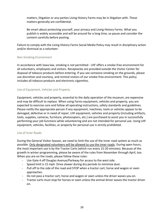matters, litigation or any parties Living History Farms may be in litigation with. These matters generally are confidential.

Be smart about protecting yourself, your privacy and Living History Farms. What you publish is widely accessible and will be around for a long time, so pause and consider the content carefully before posting.

Failure to comply with the Living History Farms Social Media Policy may result in disciplinary action and/or dismissal as a volunteer.

#### <span id="page-27-0"></span>Non-Smoking Environment

In accordance with Iowa law, smoking is not permitted - LHF offers a smoke-free environment for all volunteers, employees and visitors. Receptacles are provided outside the Visitor Center for disposal of tobacco products before entering. If you see someone smoking on the grounds, please use discretion and courtesy, and remind visitors of our smoke-free environment. This policy includes all tobacco products and electronic cigarettes.

## <span id="page-27-1"></span>Use of Equipment, Vehicles and Property

Equipment, vehicles and property, essential to the daily operation of the museum, are expensive and may be difficult to replace. When using Farms equipment, vehicles and property, you are expected to exercise care and follow all operating instructions, safety standards and guidelines. Please notify the appropriate person if any equipment, machines, tools or vehicles appear to be damaged, defective or in need of repair. LHF equipment, vehicles and property (including artifacts, tools, supplies, cameras, furniture, photocopiers, etc.) are purchased to assist you in successfully performing your job functions while volunteering and are not intended for personal use. Using LHF equipment, vehicles, facilities, or property for personal use is strictly prohibited.

#### <span id="page-27-2"></span>Use of Inner Roads

During the General Visitor Season, we need to limit the use of the inner road system as much as possible. Only designated volunteers will be allowed to use the inner roads. During open hours, the most important use is by the Tractor Carts (which run every 15-20 minutes). Because of the growth in winter programming, please be aware of the rules from November through April, too. When you are on the roads, please follow these rules:

- Use Gate 4 off Douglas Avenue/Parkway for access to the west side.
- Speed limit is 15 mph. Drive slower during dry periods to minimize dust.
- Pull off to the side of the road and STOP when a tractor cart, horse and wagon or oxen approaches.
- Do not pass a tractor cart, horse and wagon or oxen unless the driver waves you on.
- Tractor carts must stop for horses or oxen unless the animal driver waves the tractor driver on.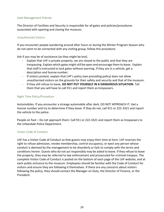#### <span id="page-28-0"></span>Gate Management Policies

The Director of Facilities and Security is responsible for all gates and policies/procedures associated with opening and closing the museum.

#### <span id="page-28-1"></span>Unauthorized Visitors

If you encounter people wandering around after hours or during the Winter Program Season who do not seem to be connected with any visiting group, follow this procedure:

Ask if you may be of assistance (as they might be lost).

- Explain that LHF is private property, we are closed to the public and that they are trespassing. Explain which gates might still be open and encourage them to leave. Explain that staff is instructed to lock gates without warning. If they are in a vehicle, get a description and license number.
- If visitors protest, explain that LHF's policy (see preceding policy) does not allow unauthorized visitors on the grounds for their safety and security and that of the museum.
- If they still refuse to leave, **DO NOT PUT YOURSELF IN A DANGEROUS SITUATION**. Tell them that you will have to call 911 and report them as trespassers.

#### <span id="page-28-2"></span>Night Time Policy/Procedure

Automobiles: If you encounter a strange automobile after dark, DO NOT APPROACH IT. Get a license number and try to determine if they leave. If they do not, call 911 or 222-3321 and report the vehicle to the police.

People on foot – Do not approach them: Call 911 or 222-3321 and report them as trespassers to the Urbandale Police Department.

#### <span id="page-28-3"></span>Visitor Code of Conduct

LHF has a Visitor Code of Conduct so that guests may enjoy their time at here. LHF reserves the right to refuse admission, revoke membership, control occupancy, or eject any person whose conduct is deemed by the management to be disorderly or fails to comply with the terms and conditions herein. Guests who do not act responsibly may be asked to leave. If they refuse to leave the property, they may be referred to law enforcement and prosecuted for criminal trespass. The complete Visitor Code of Conduct is posted on the bottom of each page of the LHF website, and at each public entrance to the museum. Employees should be familiar with the Code of Conduct for visitors and ensure they are following it themselves. If there are any concerns about visitors following the policy, they should contact the Manager on Duty, the Director of Finance, or the President.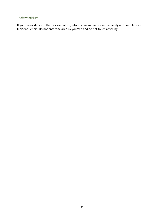## <span id="page-29-0"></span>Theft/Vandalism

If you see evidence of theft or vandalism, inform your supervisor immediately and complete an Incident Report. Do not enter the area by yourself and do not touch anything.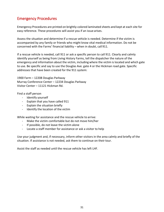# <span id="page-30-0"></span>Emergency Procedures

Emergency Procedures are printed on brightly-colored laminated sheets and kept at each site for easy reference. These procedures will assist you if an issue arises.

Assess the situation and determine if a rescue vehicle is needed. Determine if the victim is accompanied by any family or friends who might know vital medical information. Do not be concerned with the Farms' financial liability – when in doubt, call 911.

If a rescue vehicle is needed, call 911 or ask a specific person to call 911. Clearly and calmly identify yourself as being from Living History Farms, tell the dispatcher the nature of the emergency and information about the victim, including where the victim is located and which gate to use. Be specific and say to use the Douglas Ave. gate 4 or the Hickman road gate. Specific addresses that have been created for the 911 system:

1900 Farm – 12208 Douglas Parkway Murray Conference Center – 12234 Douglas Parkway Visitor Center – 11121 Hickman Rd.

Find a staff person

- Identify yourself
- Explain that you have called 911
- Explain the situation briefly
- Identify the location of the victim

While waiting for assistance and the rescue vehicle to arrive:

- Make the victim comfortable but do not move him/her
- If possible, do not leave the victim alone
- Locate a staff member for assistance or ask a visitor to help

Use your judgment and, if necessary, inform other visitors in the area calmly and briefly of the situation. If assistance is not needed, ask them to continue on their tour.

Assist the staff as needed until the rescue vehicle has left LHF.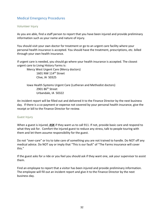# <span id="page-31-0"></span>Medical Emergency Procedures

#### <span id="page-31-1"></span>Volunteer Injury

As you are able, find a staff person to report that you have been injured and provide preliminary information such as your name and nature of injury.

You should visit your own doctor for treatment or go to an urgent care facility where your personal health insurance is accepted. You should have the treatment, prescriptions, etc. billed through your own health insurance.

If urgent care is needed, you should go where your health insurance is accepted. The closest urgent care to Living History Farms is:

Mercy West Urgent Care (Mercy doctors) 1601 NW 114th Street Clive, IA 50325

Iowa Health Systems Urgent Care (Lutheran and Methodist doctors) 2901 86th Street Urbandale, IA 50322

An incident report will be filled out and delivered it to the Finance Director by the next business day. If there is a co-payment or expense not covered by your personal health insurance, give the receipt or bill to the Finance Director for review.

#### <span id="page-31-2"></span>Guest Injury

When a guest is injured, **ASK** if they want us to call 911. If not, provide basic care and respond to what they ask for. Comfort the injured guest to reduce any stress, talk to people touring with them and let them assume responsibility for the guest.

Do not "over-care" or try to take care of something you are not trained to handle. Do NOT off any medical advice. Do NOT say or imply that "This is our fault" of "The Farms insurance will cover this."

If the guest asks for a ride or you feel you should ask if they want one, ask your supervisor to assist them.

Find an employee to report that a visitor has been injured and provide preliminary information. The employee will fill out an incident report and give it to the Finance Director by the next business day.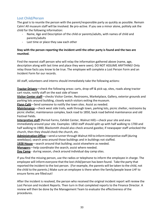# <span id="page-32-0"></span>Lost Child/Person

The goal is to reunite the person with the parent/responsible party as quickly as possible. Remain Calm! All museum staff will be involved. Be pro-active. If you see a minor alone, politely ask the child for the following information:

- Name, Age and Description of the child or parents/adults, with names of child and parents/adults
- Last time or place they saw each other

## **Stay with the person reporting the incident until the other party is found and the two are reunited.**

Find the nearest staff person who will relay the information gathered above (name, age, description along with last time and place they were seen). DO NOT ASSUME ANYTHING! Only relay those facts you know to be true. The employee will complete a Lost Person Form and an Incident Form for our records.

All staff, volunteers and interns should immediately take the following actions:

**Tractor Drivers—**check the following areas: carts, drop-off & pick-up, sites, roads along tractor cart route, notify staff on the east side of town

**Visitor Center staff**—checks Visitor Center, Restrooms, Marketplace, Gallery, exterior grounds and parking lots around building, closely watch visitors exiting themuseum.

**Flynn Café**—Send someone to notify the town sites. Assist as needed.

**Maintenance**—check west side trails, walk through town, parking lots, picnic shelter, restrooms by picnic shelter, maintenance complex, back road to 1850, back road behind maintenance and old Festival Fields.

**Interpretive staff** (Period Farms, Exhibit Center, Walnut Hill)—check your site and area immediately around your site. Examples: 1850 staff should split up with half walking to 1700 and half walking to 1900; Blacksmith should also check around gazebo; if newspaper staff unlocked the church, then they should check the church, etc.

Administration Office—send a runner through Walnut Hill to inform interpretive staff (during weekdays); search area around those buildings and in buildings not staffed.

**1928 House**—search around that building; assist elsewhere as needed.

**Managers**—help coordinate the search; assist where needed.

**Day Camp** - during season, check around individual day camp sites.

If you find the missing person, use the radios or telephone to inform the employee in charge. The employee will inform everyone that the lost child/person has been found. Take the party that reported the incident to the lost person. (For example, the parents will be taken to the child, not the child to the parents.) Make sure an employee is there when the family/people leave LHF to ensure forms are filled out!

After the incident is resolved, the person who received the original incident report will review the Lost Person and Incident Reports. Then turn in that completed reports to the Finance Director. A review will then be done by the Management Team to evaluate the effectiveness of the procedures.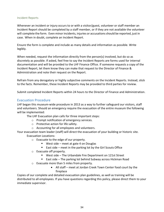#### <span id="page-33-0"></span>Incident Reports

Whenever an incident or injury occurs to or with a visitor/guest, volunteer or staff member an Incident Report should be completed by a staff member, or if they are not available the volunteer will complete the form. Even minor incidents, injuries or accusationsshould be reported, just in case. When in doubt, complete an Incident Report.

Ensure the form is complete and include as many details and information as possible. Write legibly.

When needed, request the information directly from the person(s) involved, but do so as discretely as possible. If asked, feel free to say the Incident Reports are forms used for internal documentation and will be provided to the LHF Finance Office. If someone requests a copy of the Incident Report, let them know they can make that request to the Director of Finance & Administration and note their request on the Report.

Refrain from any derogatory or highly subjective comments on the Incident Reports. Instead, stick to the facts. Remember, these Incident Reports may be provided to third parties for review.

Submit completed Incident Reports within 24 hours to the Director of Finance and Administration.

#### <span id="page-33-1"></span>Evacuation Procedure

LHF began this museum-wide procedure in 2013 as a way to further safeguard our visitors, staff and volunteers. Should an emergency require the evacuation of the entire museum the following will be implemented:

The LHF Evacuation plan calls for three important steps:

- o Prompt notification of emergency services.
- o Protective action for life safety.
- o Accounting for all employees and volunteers.

Your evacuation team leader (staff) will direct the evacuation of your building or historic site. Evacuation Locations:

- o Evacuate to the edge of our property.
	- West side meet at gate 4 on Douglas
	- $\blacksquare$  East side meet in the parking lot by the Girl Scouts Office
- o Evacuate off property.
	- West side The Urbandale Fire Department on 121st Street
	- East side The parking lot behind Subway across Hickman Road
- o Evacuate more than 5 miles from property.
	- All staff meet at Jordan Creek Town Center food court by the fireplace

Copies of our complete and detailed evacuation plan guidelines, as well as training will be distributed to all employees. If you have questions regarding this policy, please direct them to your immediate supervisor.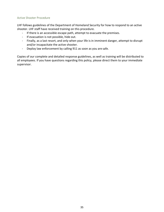#### <span id="page-34-0"></span>Active Shooter Procedure

LHF follows guidelines of the Department of Homeland Security for how to respond to an active shooter. LHF staff have received training on this procedure.

- If there is an accessible escape path, attempt to evacuate the premises.
- If evacuation is not possible, hide out.
- Finally, as a last resort, and only when your life is in imminent danger, attempt to disrupt and/or incapacitate the active shooter.
- Deploy law enforcement by calling 911 as soon as you are safe.

Copies of our complete and detailed response guidelines, as well as training will be distributed to all employees. If you have questions regarding this policy, please direct them to your immediate supervisor.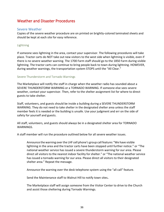# <span id="page-35-0"></span>Weather and Disaster Procedures

## <span id="page-35-1"></span>Severe Weather

Copies of the severe weather procedure are on printed on brightly-colored laminated sheets and should be kept at each site for easy reference.

#### <span id="page-35-2"></span>Lightning

If someone sees lightning in the area, contact your supervisor. The following procedures will take place. Tractor carts do NOT take out new visitors to the west side when lightning is visible, even if there is no severe weather warning. The 1700 Farm staff should go to the 1850 Farm during visible lightning. The tractor carts can continue to bring people back to town during lightning. HOWEVER, during weather warnings, the transportation system STOPS until the "All Clear."

#### <span id="page-35-3"></span>Severe Thunderstorm and Tornado Warnings

The Marketplace will notify the staff in charge when the weather radio has sounded about a SEVERE THUNDERSTORM WARNING or a TORNADO WARNING. If someone else sees severe weather, contact your supervisor. Then, refer to the shelter assignment list for where to direct guests to take shelter.

Staff, volunteers, and guests should be inside a building during a SEVERE THUNDERSTORM WARNING. They do not need to take shelter in the designated shelter area unless the staff member feels it is needed or the building is unsafe. Use your judgment and err on the side of safety for yourself and guests.

All staff, volunteers, and guests should always be in a designated shelter area for TORNADO WARNINGS.

A staff member will run the procedure outlined below for all severe weather issues.

Announce the warning overthe LHF cell phone's group call feature**:** "We have visible lightning in the area and the tractor carts have been stopped until further notice." or "The national weather service has issued a severe thunderstorm warning for our area. Please direct all visitors to the nearest indoor facility for shelter." or "The national weather service has issued a tornado warning for our area. Please direct all visitors to their designated shelter area." Repeat the message.

Announce the warning over the desk telephone system using the "all call" feature.

Send the Maintenance staff to Walnut Hill to notify town sites**.** 

The Marketplace staff will assign someone from the Visitor Center to drive to the Church and assist those sheltering during Tornado Warnings.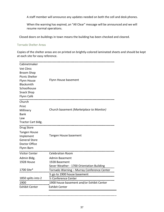A staff member will announce any updates needed on both the cell and desk phones.

When the warning has expired, an "All Clear" message will be announced and we will resume normal operations.

Closed doors on buildings in town means the building has been checked and cleared.

#### <span id="page-36-0"></span>Tornado Shelter Areas

Copies of the shelter areas are on printed on brightly-colored laminated sheets and should be kept at each site for easy reference.

| Cabinetmaker<br>Vet Clinic<br><b>Broom Shop</b><br><b>Picnic Shelter</b><br>Flynn House<br>Blacksmith<br>Schoolhouse<br><b>Snack Shop</b><br>Flynn Café | Flynn House basement                                                                        |
|---------------------------------------------------------------------------------------------------------------------------------------------------------|---------------------------------------------------------------------------------------------|
| Church<br>Print<br>Millinery<br><b>Bank</b><br>Law<br>Tractor Cart bldg.                                                                                | Church basement (Marketplace to Monitor)                                                    |
| Drug Store<br><b>Tangen House</b><br>Implement<br><b>General Store</b><br>Doctor Office<br>Flynn Barn                                                   | Tangen House basement                                                                       |
| <b>Visitor Center</b>                                                                                                                                   | <b>Celebration Room</b>                                                                     |
| Admin Bldg.<br>1928 House                                                                                                                               | <b>Admin Basement</b><br>1928 Basement<br>Sever Weather - 1700 Orientation Building         |
| 1700 Site*                                                                                                                                              | Tornado Warning - Murray Conference Center                                                  |
| 1850 splits into 2<br>1900<br><b>Exhibit Center</b>                                                                                                     | 1/2 Conference Center<br>1900 house basement and/or Exhibit Center<br><b>Exhibit Center</b> |
|                                                                                                                                                         |                                                                                             |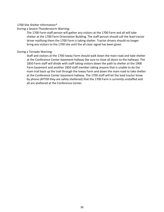#### 1700 Site Shelter Information\*

During a Severe Thunderstorm Warning:

The 1700 Farm staff person will gather any visitors at the 1700 Farm and all will take shelter at the 1700 Farm Orientation Building. The staff person should call the lead tractor driver notifying them the 1700 Farm is taking shelter. Tractor drivers should no longer bring any visitors to the 1700 site until the all clear signal has been given.

#### During a Tornado Warning:

Staff and visitors at the 1700 Ioway Farm should walk down the main road and take shelter at the Conference Center basement hallway (be sure to close all doors to the hallway). The 1850 Farm staff will divide with staff taking visitors down the path to shelter at the 1900 Farm basement and another 1850 staff member taking anyone that is unable to do the main trail back up the trail through the Ioway Farm and down the main road to take shelter at the Conference Center basement hallway. The 1700 staff will let the lead tractor know by phone (AFTER they are safely sheltered) that the 1700 Farm is currently unstaffed and all are sheltered at the Conference Center.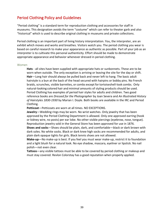# <span id="page-38-0"></span>Period Clothing Policy and Guidelines

"Period clothing" is a standard term for reproduction clothing and accessories for staff in museums. This designation avoids the term "costume" which can refer to theater garb and also "historical" which is used to describe original clothing in museums and private collections.

Period clothing is an important part of living history interpretation. You, the interpreter, are an exhibit which moves and works and breathes. Visitors watch you. The period clothing you wear is based on careful research to make your appearance as authentic as possible. Part of your job as an interpreter is to cultivate this personal authenticity. Effort should be made to demonstrate appropriate appearance and behavior whenever dressed in period clothing.

#### <span id="page-38-1"></span>Women

**Hats** - all sites have been supplied with appropriate hats or sunbonnets. These are to be worn when outside. The only exception is arriving or leaving the site for the day or shift. **Hair**—Long hair should always be pulled back and never left to hang. The basic adult hairstyle is a bun at the back of the head secured with hairpins or bobby pins. No French braids, scrunches, visible barrettes, or combs except fortortoiseshell-look combs. Only natural-looking colored hair and minimal amounts of styling products should be used. Period Clothing has examples of period hair styles for adults and children. Two good reference books are *Dressed for the Photographer* by Joan Severa and *An Illustrated History of Hairstyles 1830-1930* by Marian I. Doyle. Both books are available in the IRC and Period Clothing.

**Petticoat**—Petticoats are worn at all times. NO EXCEPTIONS.

**Jewelry**—Wedding rings may be worn. No wrist watches. Only jewelry that has been approved by the Period Clothing Department is allowed. Only one approved earring (hook or kidney wire, no posts) per ear lobe. No other visible piercings (eyebrow, nose, tongue). Reproduction jewelry sold in the General Store has been approved for use in 1876.

**Shoes and socks**—Shoes should be plain, dark, and comfortable—black or dark brown with dark soles. No white socks. Black or dark knee high socks are recommended for adults, and plain dark opaque tights for girls. Black tennis shoes are not allowed.

**Make-up**—No make-up is best. If you feel you must wear make-up, restrict it to foundation and a light blush for a natural look. No eye shadow, mascara, eyeliner or lipstick. No nail polish—not even clear.

**Tattoos**—any visible tattoos must be able to be covered by period clothing or makeup and must stay covered. Revlon Colorstay has a good reputation when properly applied.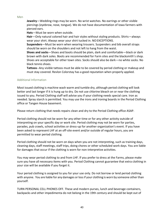#### <span id="page-39-0"></span>Men

**Jewelry**—Wedding rings may be worn. No wrist watches. No earrings or other visible piercings (eyebrow, nose, tongue). We do not have documentation of Iowa farmers with pierced ears.

**Hats**—Must be worn when outside.

**Hair**—Only natural colored hair and hair styles without styling products. Shirts—always wear your shirt. Always wear your shirt tucked in. NOEXCEPTIONS.

**Suspenders**—Must be worn when wearing trousers. Suspenders and bib overall straps should be worn on the shoulders and not left to hang from the waist.

**Shoes and socks**—Shoes and boots should be plain, dark and comfortable—black or dark brown with dark soles. Boots are recommended for Farm sites and the blacksmith's shop. Shoes are acceptable for other town sites. Socks should also be dark—no white socks. No black tennis shoes.

**Tattoos**--Any visible tattoos must be able to be covered by period clothing or makeup and must stay covered. Revlon Colorstay has a good reputation when properly applied.

#### <span id="page-39-1"></span>Additional Information

Most issued clothing is machine wash warm and tumble dry, although period clothing will look better and last longer if it is hung up to dry. Do not use chlorine bleach on or near the clothing issued to you. Period Clothing staff will advise you if your clothing needs special care. Iron as needed. Spray starch is permitted. You may use the irons and ironing boards in the Period Clothing office or Tangen House basement.

Please return clothing that needs repairs clean and dry to the Period Clothing office ASAP.

Period clothing should not be worn for any other time or for any other activity outside of interpreting on your specific day or work site. Period clothing may not be worn for parties, parades, pub crawls, school activities or dress-up for another organization's event. If you have been asked to represent LHF at an off-site event and/or outside of regular hours, you are permitted to wear period clothing.

Period clothing should not be worn on days when you are not interpreting, such as training days, cleaning days, staff meetings, staff trips, doing chores or other scheduled work days. You are liable for damages that occur if the clothing is worn for non-interpretive activities.

You may wear period clothing to and from LHF. If you prefer to dress at the Farms, please make sure you have all necessary items with you. Period Clothing cannot guarantee that extra clothing in your size will be available if you forget it.

Your period clothing is assigned to you for your use only. Do not borrow or lend period clothing with anyone. You are liable for any damages or lossif your clothing is worn by someone otherthan yourself.

TURN PERSONAL CELL PHONES OFF. These and modern purses, lunch and beverage containers, backpacks and other impedimenta do not belong in the 19th century and should be kept out of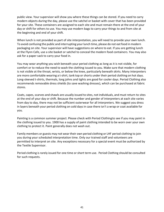public view. Your supervisor will show you where these things can be stored. If you need to carry modern objects during the day, please use the satchel or basket with cover that has been provided for your site. These containers are assigned to each site and must remain there at the end of your day or shift for others to use. You may use modern bags to carry your things to and from site at the beginning and end of your shift.

When lunch is not provided as part of site interpretation, you will need to provide your own lunch. To avoid confusing the public and interrupting your lunch time, please do not eatfood in modern packaging on site. Your supervisor will have suggestions on where to eat. If you are getting lunch at the Flynn Cafe, use a site basket or satchel to conceal the modern food containers. You may also ask for a paper sack to carry your food in.

You may wear anything you wish beneath your period clothing as long as it is not visible, for comfort or to reduce the need to wash the clothing issued to you. Make sure that modern clothing is not visible at the throat, wrists, or below the knee, particularly beneath skirts. Many interpreters are more comfortable wearing a t-shirt, tank top or shorts under their period clothing on hot days. Long-sleeved t-shirts, thermals, long johns and tights are good for cooler days. Period Clothing also recommends removable dress shields (to save washing dresses), which can be purchased at fabric stores.

Coats, capes, scarves and shawls are usually issued to sites, not individuals, and must return to sites at the end of your day or shift. Because the number and gender of interpreters at each site varies from day to day, there may not be sufficient outerwear for all interpreters. We suggest you dress in layers beneath your period clothing on cold days in case there isn't a wrap or coat available for you.

Painting is a common summer project. Please check with Period Clothingto see if you may paint in the clothing issued to you. 1900 has a supply of paint clothing intended to be worn over your own clothing to protect it. Paint generally does not wash out.

Family members or guests may not wear their own period clothing or LHF period clothing to join you during your scheduled interpretation time. Only our trained staff and volunteers are permitted to interpret on site. Any exceptions necessary for a special event must be authorized by the Textile Supervisor.

Period clothing is rarely issued for one time or short term use. Period Clothing should be consulted for such requests.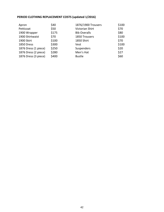# **PERIOD CLOTHING REPLACEMENT COSTS (updated 1/2016)**

| Apron                | \$40  | 1876/1900 Trousers  | \$100 |
|----------------------|-------|---------------------|-------|
| Petticoat            | \$50  | Victorian Shirt     | \$70  |
| 1900 Wrapper         | \$175 | <b>Bib Overalls</b> | \$80  |
| 1900 Shirtwaist      | \$70  | 1850 Trousers       | \$100 |
| 1900 Skirt           | \$100 | 1850 Shirt          | \$70  |
| 1850 Dress           | \$300 | Vest                | \$100 |
| 1876 Dress (1 piece) | \$250 | Suspenders          | \$20  |
| 1876 Dress (2 piece) | \$280 | Men's Hat           | \$27  |
| 1876 Dress (3 piece) | \$400 | <b>Bustle</b>       | \$60  |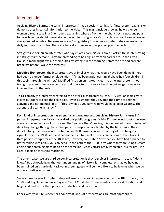# <span id="page-42-0"></span>Interpretation

At Living History Farms, the term "interpreters" has a special meaning. An "interpreter" explains or demonstrates historical information to the visitor. This might include showing how a pioneer woman baked a cake in a Dutch oven, explaining where a frontier merchant got his pots and pans for sale, how the electric generator works or discussing why a Victorian lady wore gloves whenever she appeared in public. Because we are a "living history" museum, our interpreters recreate the daily routines of our sites. There are basically three ways interpreters play their roles:

**Straight first-person** an interpreter who says "I am a farmer" or "I am a blacksmith" is interpreting in "straight first-person." They are pretending to be a figure from an earlier era. In the Flynn House, a maid might explain their duties by saying, "In the morning, I start the fire and prepare breakfast before I wake the mistress."

**Modified first-person**, the interpreter says or implies what they would have been doing IF they had been a pioneer farmer or blacksmith. "If I had been a pioneer, I might have had four children in this cabin through the winter." Modified first-person makes it clear that the interpreter is not trying to present themselves as the actual character from an earlier time but suggests ways to imagine them in that role.

**Third person,** the interpreter refers to the historical characters as "they." "Victorian ladies wore gloves outdoors to keep their skin pale. It was a sign that they devoted their time to refined activities and not manual labor." "This is what a 1900 farm wife would have been wearing. The aprons really came in handy."

**Each kind of interpretation has strengths and weaknesses, but Living History Farms uses 3 rd person interpretation for virtually all of our public programs**. While 3 rd person interpretation loses some of the immediacy of history and the "you are there" feeling, it is well suited to our mission of depicting change through time. First person interpreters are limited by the time period they depict. Using first person interpretation, an 1850 farmer can know nothing of the changes in agriculture at the 1900 Farm and cannot help visitors make direct connections to their lives. A third person interpreter at the 1850 site, however, can state, "Now that you have had a chance to try threshing with a flail, you can head up the path to the 1900 Farm where they are using a steam engine and threshing machine to do the same job. Since you are really interested, ask for Jim. He's a real expert on threshing machines."

The other reason we use third person interpretation isthat it enables interpreters to say, "I don't know." By acknowledging that our understanding of history is incomplete, or that we have not been trained on a particular task yet museum guests will be more likely to believe us when we do our interpretive activities.

Several times a year LHF interpreters will use first person interpretation; at the 1876 funeral, the 1850 wedding, Independence Day and Circuit Court day. These events are of short duration and begin and end with a third person introduction and conclusion.

Check with your Site Supervisor about what kinds of presentations are most appropriate.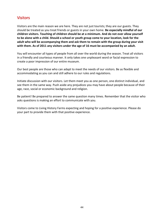# <span id="page-43-0"></span>**Visitors**

Visitors are the main reason we are here. They are not just tourists; they are our guests. They should be treated as you treat friends or guests in your own home. **Be especially mindful of our children visitors. Touching of children should be at a minimum. And do not ever allow yourself to be alone with a child. Should a school or youth group come to your location, look for the adult who will be accompanying them and ask them to remain with the group during your visit with them. As of 2011 any visitors under the age of 16 must be accompanied by an adult.**

You will encounter all types of people from all over the world during the season. Treat all visitors in a friendly and courteous manner. It only takes one unpleasant word or facial expression to create a poor impression of our entire museum.

Our best people are those who can adapt to meet the needs of our visitors. Be as flexible and accommodating as you can and still adhere to our rules and regulations.

Initiate discussion with our visitors. Let them meet you as one person, one distinct individual, and see them in the same way. Push aside any prejudices you may have about people because of their age, race, social or economic background and religion.

Be patient! Be prepared to answer the same question many times. Remember that the visitor who asks questions is making an effort to communicate with you.

Visitors come to Living History Farms expecting and hoping for a positive experience. Please do your part to provide them with that positive experience.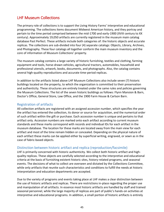# <span id="page-44-0"></span>LHF Museum Collections

The primary role of collections is to support the Living History Farms' interpretive and educational programming. The collections items document Midwest American history, and they portray and pertain to the time period comprised between the mid-1700 and early-1900 (XVIII century to XX century). Approximately 19,050 artifacts are currently registered in the museum main catalog database Past Perfect. These artifacts include both categories of: the historic objects and accurate replicas. The collections are sub-divided into four (4) separate catalogs: Objects, Library, Archives, and Photography. These four catalogs all together conform the main museum inventory and the core of information of Museum Collections' property.

The museum catalog contains a large variety of historic furnishing, textiles and clothing, farming equipment and tools, horse-drawn vehicles, agricultural tractors, automobiles, household and professional utensils, artwork, books, documents, and photographs. Also, the catalog contains several high-quality reproductions and accurate time-period replicas.

In addition to the artifacts listed above LHF Museum Collections also include seven (7) historic buildings located on the property, to which the organization is committed to their preservation and authenticity. These structures are entirely treated under the same rules and policies governing the Museum Collections. The list of the seven historic buildings as follows: Flynn Mansion & Barn, Doctor's Office, General Store, Law Office, and the 1900 Farm House & Carlson Barn.

## <span id="page-44-1"></span>Registration of artifacts

All collection artifacts are registered with an assigned accession number, which specifies the year the artifact has entered the collection, its donor or source for acquisition, and the numerical order of such artifact within the gift or purchase. Each accession number is unique and pertains to that artifact only. Accession numbers are marked onto each artifact according to current museum standards and these marks correspond with records and individual IDs for each artifact in the museum database. The location for these marks are located away from the main view for each artifact and most of the time remain hidden or concealed. Depending on the physical nature of each artifact these marks can be applied either by superficial writing, engraved, or sewn as in the case of fabric-based objects.

# <span id="page-44-2"></span>Distinction between historic artifact and replica (reproduction/facsimile)

LHF is primarily concerned with historic authenticity. We collect both historic artifact and highquality replicas. These objects are carefully selected according to the interpretive and educational criteria at the basis of furnishing existent historic sites, history-related programs, and seasonal events. The decisions of what to collect are overseen and dictated by the Collections Committee, while only artifacts that reunite such characteristics and conditions to fulfill the needs at historic interpretation and education departments are accepted.

Due to the variety of programs and events taking place at LHF makes a clear distinction between the use of historic artifacts and replicas. There are restrictions in-place regarding the proper use and manipulation of all artifacts. In essence most historic artifacts are handled by staff and trained seasonal personnel, while the large majority of replicas are part of public's hands-on activities at interpretive and educational programs. In addition, a small portion of historic artifacts is entirely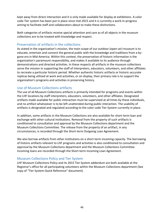kept away from direct interaction and it is only made available for display at exhibitions. A color code Tier system has been put in place since mid-2015 and it is currently a work-in-progress aiming to facilitate staff and collaborators about to make these distinctions.

Both categories of artifacts receive special attention and care as of all objects in the museum collections are to be treated with knowledge and respect.

## <span id="page-45-0"></span>Preservation of artifacts in the collections

As stated in the organization's mission, the main scope of our outdoor (open-air) museum is to educate, entertain and connect the general public with the knowledge and traditions from a bygone era in Mid-America. Within this context, the preservation of historic information is the organization's paramount responsibility, and makes it available to its audience through demonstrations and directed activities. In these respects all artifacts in the museum collections serve the mission in supporting the staff of interpreters, educators, volunteers, and other affiliates to recreate a particular historic period. Whether authentic historic artifacts or historic-accurate replicas being utilized at work and activities, or on display, their primary role is to support the organization's programs and activities in preserving history.

# <span id="page-45-1"></span>Use of Museum Collections artifacts

The use of all Museum Collections artifacts is primarily intended for programs and events within the LHF locations by staff interpreters, educators, volunteers, and other affiliates. Designated artifacts made available for public interaction must be supervised at all times by these individuals, and no artifact whatsoever is to be left unattended during public interaction. The usability of artifacts is designated and regulated according to the color code Tier System currently in place.

In addition, some artifacts in the Museum Collections are also available for short-term loan and exchange with other cultural institutions. Removal from the property of such artifacts is conditioned to consultation and approval by the Museum Collections department and the Museum Collections Committee. The release from the property of an artifact, in any circumstances, is recorded through the Short-term Outgoing Loan Agreement.

We also borrow artifacts from other institutions on a short-term incoming capacity. The borrowing of historic artifacts relevant to LHF programs and activities is also conditioned to consultation and approval by the Museum Collections department and the Museum Collections Committee. Incoming loans are recorded through the Short-term Incoming Loan Agreement.

## <span id="page-45-2"></span>Museum Collections Policy and Tier System

LHF Museum Collections Policy and its 2015 Tier System addendum are both available at the Registrar's office for all participating volunteers within the Museum Collections department (See copy of "Tier System-Quick Reference" document).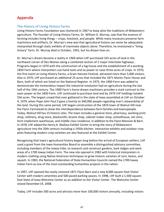# <span id="page-46-0"></span>Appendix

## <span id="page-46-1"></span>The History of Living History Farms

Living History Farms Foundation was chartered in 1967 to keep alive the traditions of Midwestern agriculture. The founder of Living History Farms, Dr. William G. Murray, saw that the essence of farming includes living things – crops, livestock, and people. While many museums preserve farm machinery and artifacts, Dr. Murray's view was that agricultural history can never be adequately interpreted through static exhibits of inanimate objects alone. Therefore, he envisioned a "living history" farm. Dr. Murray died in October, 1991, but his dream lives on.

Dr. Murray's dream became a reality in 1969 when LHF purchased 335 acres of land in the northwest corner of Des Moines along a combined section of 2 major interstate highways. . Programs began in 1970 with the construction of a log house and the establishment of a working 1850 Farm where interpreters use hand tools and ox power to raise three acres of crops. In 1970, the first event at Living History Farms, a Grain Harvest Festival, attracted more than 5,000 visitors. Also in 1970, LHF purchased an additional 25 acres that included the 1871 Martin Flynn House and Barn, both of which are listed on the National Register. In 1975, the 1900 Farm was added to demonstrate the tremendous impact the industrial revolution had on agriculture during the last half of the 19th century. The 1900 Farm's horse-drawn machinery provides a stark contrast to the oxen power at the 1850 Farm. LHF continued to purchase land and by 1979 LHF holdings totaled 556 acres. The largest crowd that ever gathered in the state of Iowa assembled at LHF on October 4, 1979, when Pope John Paul II gave a homily to 340,000 people regarding man's stewardship of the land. During this same period, LHF began construction of the 1876 town of Walnut Hill near the Flynn Farmstead to show the interdependence between farm families and townspeople. Today, Walnut Hill has 15 historic sites. The town includes a general store, pharmacy, working print shop, millinery, drug store, blacksmith, broom shop, cabinet maker shop, schoolhouse, vet clinic, farm implement warehouse, and middle class residence, in addition to the Flynn Mansion & Barn. In 1978, LHF added the Henry A. Wallace Exhibit Center to bring the story of Midwestern agriculture into the 20th century including a 1950s kitchen. Interactive exhibits and outdoor crop plots featuring modern crop varieties are also featured at the Exhibit Center.

Recognizing that Iowa's agricultural history began long before the arrival of European settlers, LHF used a grant from the Iowa Humanities Board to assemble a distinguished advisory committee, including members of the Ioway tribe, to research and construct gardens, bark lodges and work areas of a 1700 Ioway Indian Farm. The new site opened in 1982 with historical interpreters in modern clothing using Native American techniques to grow historic varieties of corn, beans, and squash. In 1983, the National Federation of State Humanities Councils named the 1700 Ioway Indian Farm as one of the most outstanding humanities projects in the nation.

In 1997, LHF opened the newly restored 1871 Flynn Barn and a new 8,000 square-foot Visitor Center with modern amenities and 500 paved parking spaces. In 1998, LHF built a 1,500 squarefoot State of Iowa Welcome Center as an addition to the Visitor Center. The Welcome Center closed December19, 2008.

Today, LHF includes 500 acres and attracts more than 100,000 visitors annually, including visitors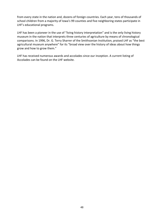from every state in the nation and, dozens of foreign countries. Each year, tens of thousands of school children from a majority of Iowa's 99 counties and five neighboring states participate in LHF's educational programs.

LHF has been a pioneer in the use of "living history interpretation" and is the only living history museum in the nation that interprets three centuries of agriculture by means of chronological comparisons. In 1996, Dr. G. Terry Sharrer of the Smithsonian Institution, praised LHF as "the best agricultural museum anywhere" for its "broad view over the history of ideas about how things grow and how to grow them."

LHF has received numerous awards and accolades since our inception. A current listing of Accolades can be found on the LHF website.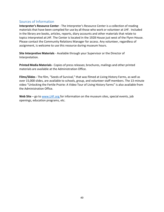## <span id="page-48-0"></span>Sources of Information

**Interpreter's Resource Center** - The Interpreter's Resource Center is a collection of reading materials that have been compiled for use by all those who work or volunteer at LHF. Included in the library are books, articles, reports, diary accounts and other materials that relate to topics interpreted at LHF. The Center is located in the 1928 House just west of the Flynn House. Please contact the Community Relations Manager for access. Any volunteer, regardless of assignment, is welcome to use this resource during museum hours.

**Site Interpretive Materials** - Available through your Supervisor or the Director of Interpretation.

**Printed Media Materials**- Copies of pressreleases; brochures, mailings and other printed materials are available at the Administration Office.

**Films/Slides -** The film, "Seeds of Survival," that was filmed at Living History Farms, as well as over 15,000 slides, are available to schools, group, and volunteer staff members. The 13-minute video "Unlocking the Fertile Prairie: A Video Tour of Living History Farms" is also available from the Administration Office.

Web Site – go to www.LHF.org for information on the museum sites, special events, job openings, education programs, etc.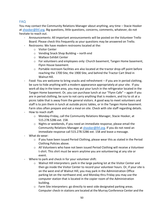# <span id="page-49-0"></span>FAQ

You may contact the Community Relations Manager about anything, any time – Stacie Hooker at [shooker@lhf.org.](mailto:shooker@lhf.org) Big questions, little questions, concerns, comments, whatever, do not hesitate to reach out.

- Announcements: All important announcements will be posted on the Volunteer Trello Board. Please check this frequently as your questions may be answered on Trello.
- Restrooms: We have modern restrooms located at the:
	- o Visitor Center
	- o Vending Snack Shop Building north end
	- o Wallace Exhibit Center
	- $\circ$  For volunteers and employees only: Church basement, Tangen Home basement, Flynn House basement.
	- $\circ$  Portable restroom facilities are also located at the tractor drop-off point before reaching the 1700 Site, the 1900 Site, and behind the Tractor Cart Shed in Walnut Hill.
- Food: You are welcome to bring snacks and refreshment if you are in period clothing, be sure to hide anything with a modern appearance appropriately at your site. If you work all day in the town area, you may put your lunch in the refrigerator located in the Tangen Home basement. Or, you can purchase lunch at our "Flynn Cafe" – again if you are in period clothing, be sure to not carry anything that is modern, and try to sit at a picnic table that is away from the general visitors. A good way to meet volunteers and staff is to join them in lunch at outside picnic tables, or in the Tangen Home basement. Farm sites often prepare and eat a meal on site. Check with site staff regarding details.
- How to reach staff:
	- o Monday-Friday, call the Community Relations Manager, Stacie Hooker, at 515.278.5286 ext. 158.
	- $\circ$  Nights or weekends, if you need an immediate response, please email the Community Relations Manager at [shooker@lhf.org.](mailto:shooker@lhf.org) If you do not need an immediate response call 515.278.5286 ext. 158 and leave a message.
- What do wear:
	- $\circ$  If you have been issued Period Clothing, please wear this as stated in the Period Clothing Policies above.
	- $\circ$  All Volunteers who have not been issued Period Clothing will receive a Volunteer t-shirt. This shirt must be worn anytime you are volunteering at any site or event.
- Where to park and check in for your volunteer shift:
	- o Walnut Hill interpreters: park in the large parking lot at the Visitor Center and then go inside the Visitor Center to record your volunteer hours. Or, if your site is on the west end of Walnut Hill, you may park in the Administration Office parking lot on the northwest end, and Monday thru Friday you may use the computer station that is located in the copier room of the Administration building.
	- o Farm Site interpreters: go directly to west side designated parking areas. Computer check-in stations are located at the Murray Conference Center and the